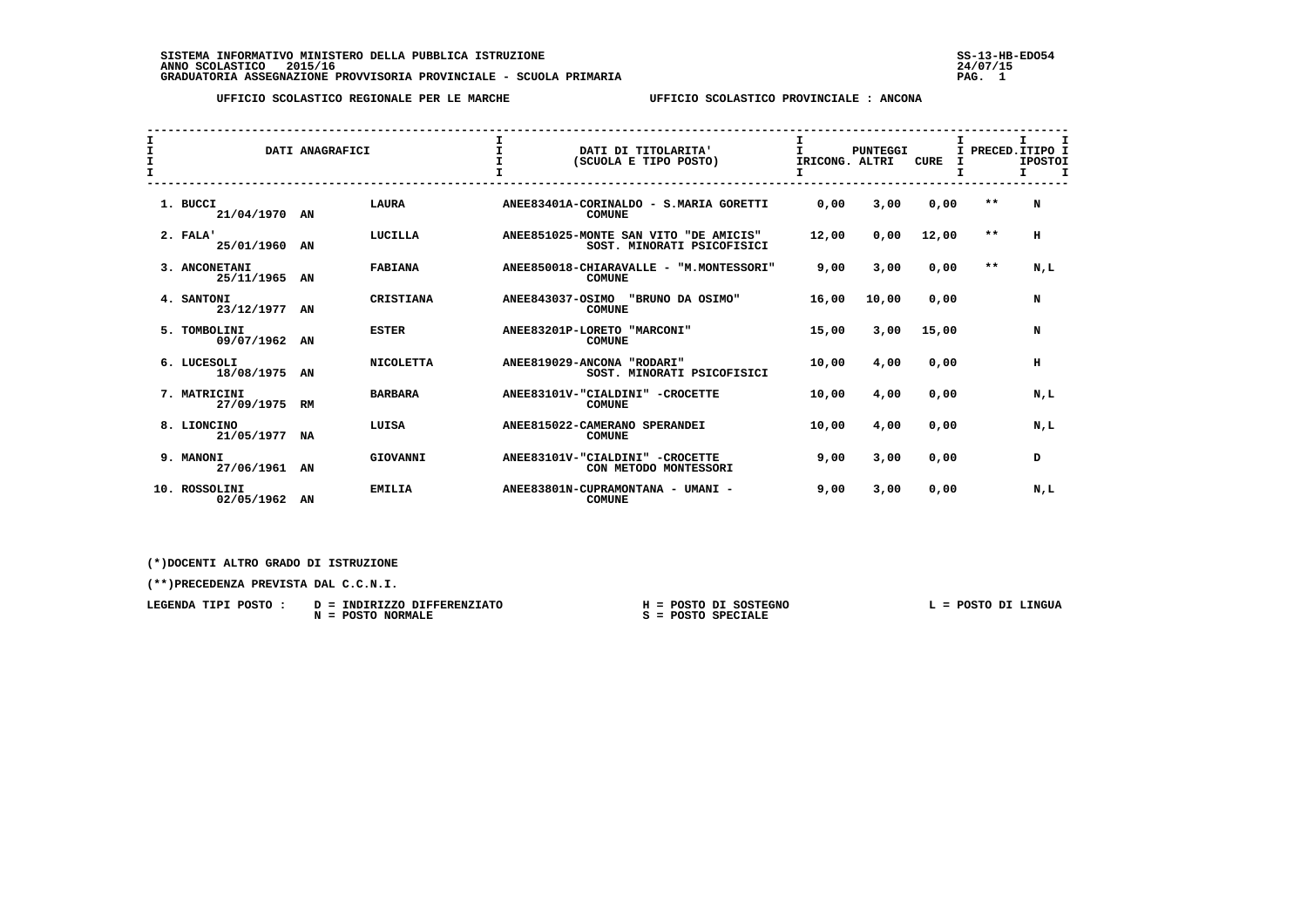SISTEMA INFORMATIVO MINISTERO DELLA PUBBLICA ISTRUZIONE<br>ANNO SCOLASTICO 2015/16<br>GRADUATORIA ASSEGNAZIONE PROVVISORIA PROVINCIALE - SCUOLA PRIMARIA PROVINCIALE - SCUOLA PAG. 1<br>DRADUATORIA ASSEGNAZIONE PROVVISORIA PROVINCIAL

 **UFFICIO SCOLASTICO REGIONALE PER LE MARCHE UFFICIO SCOLASTICO PROVINCIALE : ANCONA**

| $\mathbf{I}$<br>I<br>$\mathbf{I}$ |                             | DATI ANAGRAFICI |                  | $\mathbf{I}$            | DATI DI TITOLARITA'<br>(SCUOLA E TIPO POSTO)                        | IRICONG. ALTRI | <b>PUNTEGGI</b> | <b>CURE</b> |       | PRECED.ITIPO I<br><b>IPOSTOI</b><br>$\mathbf I$<br>Τ. |
|-----------------------------------|-----------------------------|-----------------|------------------|-------------------------|---------------------------------------------------------------------|----------------|-----------------|-------------|-------|-------------------------------------------------------|
|                                   | 1. BUCCI<br>21/04/1970 AN   |                 | <b>LAURA</b>     |                         | ANEE83401A-CORINALDO - S.MARIA GORETTI<br><b>COMUNE</b>             | 0,00           | 3,00            | 0,00        | $* *$ | N                                                     |
|                                   | 2. FALA'<br>25/01/1960 AN   |                 | LUCILLA          |                         | ANEE851025-MONTE SAN VITO "DE AMICIS"<br>SOST. MINORATI PSICOFISICI | 12,00          | 0,00            | 12,00       | $* *$ | н                                                     |
|                                   | 3. ANCONETANI<br>25/11/1965 | AN              | <b>FABIANA</b>   |                         | ANEE850018-CHIARAVALLE - "M.MONTESSORI"<br><b>COMUNE</b>            | 9,00           | 3,00            | 0,00        | $***$ | N,L                                                   |
|                                   | 4. SANTONI<br>23/12/1977 AN |                 | <b>CRISTIANA</b> | <b>ANEE843037-OSIMO</b> | "BRUNO DA OSIMO"<br><b>COMUNE</b>                                   | 16,00          | 10,00           | 0,00        |       | N                                                     |
|                                   | 5. TOMBOLINI<br>09/07/1962  | AN              | <b>ESTER</b>     |                         | ANEE83201P-LORETO "MARCONI"<br><b>COMUNE</b>                        | 15,00          | 3,00            | 15,00       |       | N                                                     |
|                                   | 6. LUCESOLI<br>18/08/1975   | AN              | <b>NICOLETTA</b> |                         | ANEE819029-ANCONA "RODARI"<br>SOST. MINORATI PSICOFISICI            | 10,00          | 4,00            | 0.00        |       | н                                                     |
|                                   | 7. MATRICINI<br>27/09/1975  | RM              | <b>BARBARA</b>   |                         | ANEE83101V-"CIALDINI" -CROCETTE<br><b>COMUNE</b>                    | 10,00          | 4,00            | 0.00        |       | N.L                                                   |
|                                   | 8. LIONCINO<br>21/05/1977   | NA              | LUISA            |                         | ANEE815022-CAMERANO SPERANDEI<br><b>COMUNE</b>                      | 10,00          | 4,00            | 0,00        |       | N,L                                                   |
|                                   | 9. MANONI<br>27/06/1961 AN  |                 | GIOVANNI         |                         | ANEE83101V-"CIALDINI" -CROCETTE<br>CON METODO MONTESSORI            | 9,00           | 3,00            | 0,00        |       | D                                                     |
|                                   | 10. ROSSOLINI<br>02/05/1962 | AN              | <b>EMILIA</b>    |                         | ANEE83801N-CUPRAMONTANA - UMANI -<br><b>COMUNE</b>                  | 9,00           | 3,00            | 0,00        |       | N,L                                                   |

## **(\*)DOCENTI ALTRO GRADO DI ISTRUZIONE**

 **(\*\*)PRECEDENZA PREVISTA DAL C.C.N.I.**

| LEGENDA TIPI POSTO : | D = INDIRIZZO DIFFERENZIATO   | = POSTO DI SOSTEGNO  | POSTO DI LINGUA |
|----------------------|-------------------------------|----------------------|-----------------|
|                      | <b>POSTO NORMALE</b><br>$N =$ | $S = POSTO SPECIALE$ |                 |